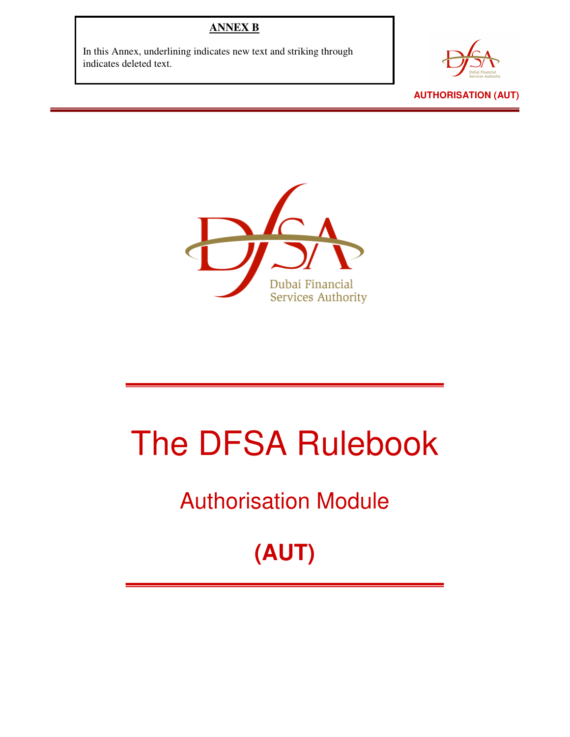#### **ANNEX B**

In this Annex, underlining indicates new text and striking through indicates deleted text.





# The DFSA Rulebook

### Authorisation Module

## **(AUT)**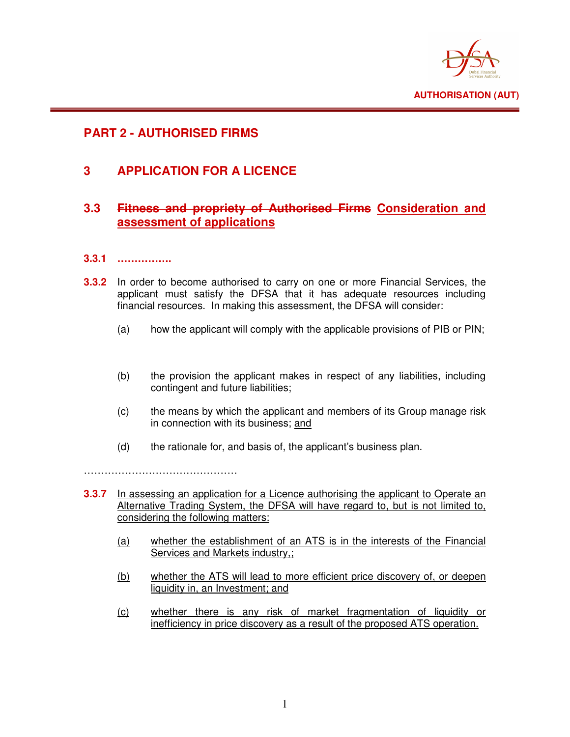

#### **PART 2 - AUTHORISED FIRMS**

#### **3 APPLICATION FOR A LICENCE**

#### **3.3 Fitness and propriety of Authorised Firms Consideration and assessment of applications**

#### **3.3.1 …………….**

- **3.3.2** In order to become authorised to carry on one or more Financial Services, the applicant must satisfy the DFSA that it has adequate resources including financial resources. In making this assessment, the DFSA will consider:
	- (a) how the applicant will comply with the applicable provisions of PIB or PIN;
	- (b) the provision the applicant makes in respect of any liabilities, including contingent and future liabilities;
	- (c) the means by which the applicant and members of its Group manage risk in connection with its business; and
	- (d) the rationale for, and basis of, the applicant's business plan.

………………………………………

- **3.3.7** In assessing an application for a Licence authorising the applicant to Operate an Alternative Trading System, the DFSA will have regard to, but is not limited to, considering the following matters:
	- (a) whether the establishment of an ATS is in the interests of the Financial Services and Markets industry,;
	- (b) whether the ATS will lead to more efficient price discovery of, or deepen liquidity in, an Investment; and
	- (c) whether there is any risk of market fragmentation of liquidity or inefficiency in price discovery as a result of the proposed ATS operation.